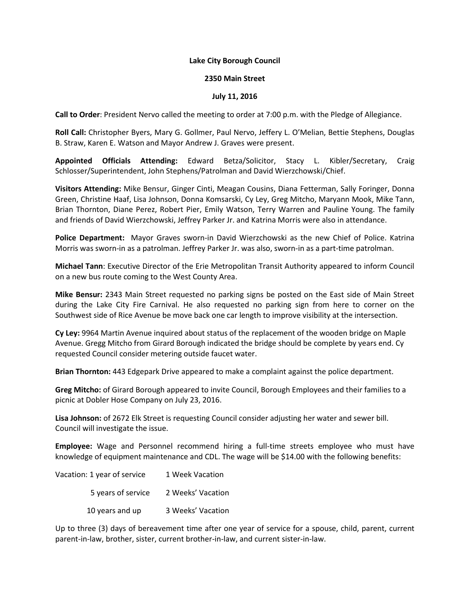## **Lake City Borough Council**

## **2350 Main Street**

## **July 11, 2016**

**Call to Order**: President Nervo called the meeting to order at 7:00 p.m. with the Pledge of Allegiance.

**Roll Call:** Christopher Byers, Mary G. Gollmer, Paul Nervo, Jeffery L. O'Melian, Bettie Stephens, Douglas B. Straw, Karen E. Watson and Mayor Andrew J. Graves were present.

**Appointed Officials Attending:** Edward Betza/Solicitor, Stacy L. Kibler/Secretary, Craig Schlosser/Superintendent, John Stephens/Patrolman and David Wierzchowski/Chief.

**Visitors Attending:** Mike Bensur, Ginger Cinti, Meagan Cousins, Diana Fetterman, Sally Foringer, Donna Green, Christine Haaf, Lisa Johnson, Donna Komsarski, Cy Ley, Greg Mitcho, Maryann Mook, Mike Tann, Brian Thornton, Diane Perez, Robert Pier, Emily Watson, Terry Warren and Pauline Young. The family and friends of David Wierzchowski, Jeffrey Parker Jr. and Katrina Morris were also in attendance.

**Police Department:** Mayor Graves sworn-in David Wierzchowski as the new Chief of Police. Katrina Morris was sworn-in as a patrolman. Jeffrey Parker Jr. was also, sworn-in as a part-time patrolman.

**Michael Tann**: Executive Director of the Erie Metropolitan Transit Authority appeared to inform Council on a new bus route coming to the West County Area.

**Mike Bensur:** 2343 Main Street requested no parking signs be posted on the East side of Main Street during the Lake City Fire Carnival. He also requested no parking sign from here to corner on the Southwest side of Rice Avenue be move back one car length to improve visibility at the intersection.

**Cy Ley:** 9964 Martin Avenue inquired about status of the replacement of the wooden bridge on Maple Avenue. Gregg Mitcho from Girard Borough indicated the bridge should be complete by years end. Cy requested Council consider metering outside faucet water.

**Brian Thornton:** 443 Edgepark Drive appeared to make a complaint against the police department.

**Greg Mitcho:** of Girard Borough appeared to invite Council, Borough Employees and their families to a picnic at Dobler Hose Company on July 23, 2016.

**Lisa Johnson:** of 2672 Elk Street is requesting Council consider adjusting her water and sewer bill. Council will investigate the issue.

**Employee:** Wage and Personnel recommend hiring a full-time streets employee who must have knowledge of equipment maintenance and CDL. The wage will be \$14.00 with the following benefits:

| Vacation: 1 year of service | 1 Week Vacation   |
|-----------------------------|-------------------|
| 5 years of service          | 2 Weeks' Vacation |
| 10 years and up             | 3 Weeks' Vacation |

Up to three (3) days of bereavement time after one year of service for a spouse, child, parent, current parent-in-law, brother, sister, current brother-in-law, and current sister-in-law.